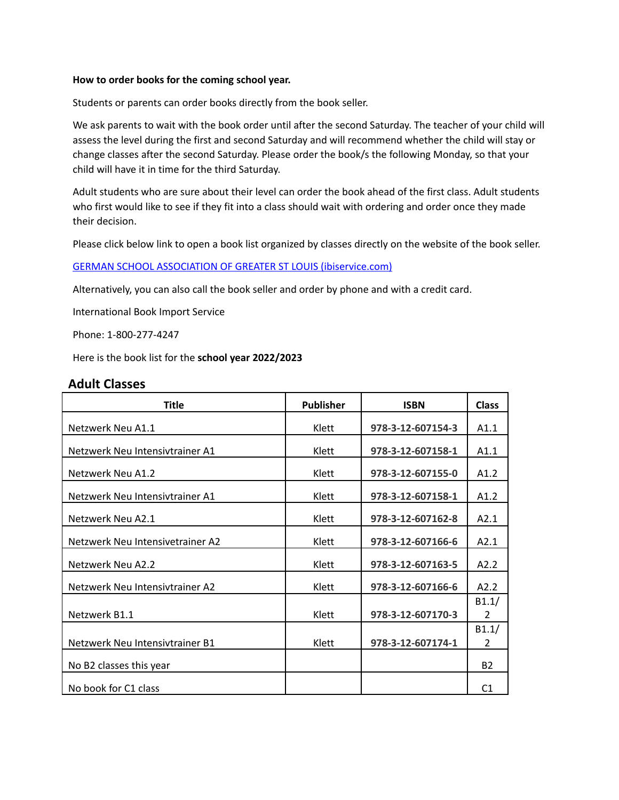## **How to order books for the coming school year.**

Students or parents can order books directly from the book seller.

We ask parents to wait with the book order until after the second Saturday. The teacher of your child will assess the level during the first and second Saturday and will recommend whether the child will stay or change classes after the second Saturday. Please order the book/s the following Monday, so that your child will have it in time for the third Saturday.

Adult students who are sure about their level can order the book ahead of the first class. Adult students who first would like to see if they fit into a class should wait with ordering and order once they made their decision.

Please click below link to open a book list organized by classes directly on the website of the book seller.

GERMAN SCHOOL ASSOCIATION OF GREATER ST LOUIS [\(ibiservice.com\)](https://www.ibiservice.com/category-s/640.htm)

Alternatively, you can also call the book seller and order by phone and with a credit card.

International Book Import Service

Phone: 1-800-277-4247

Here is the book list for the **school year 2022/2023**

## **Adult Classes**

| <b>Title</b>                     | <b>Publisher</b> | <b>ISBN</b>       | <b>Class</b>            |
|----------------------------------|------------------|-------------------|-------------------------|
| Netzwerk Neu A1.1                | Klett            | 978-3-12-607154-3 | A1.1                    |
| Netzwerk Neu Intensivtrainer A1  | Klett            | 978-3-12-607158-1 | A1.1                    |
| Netzwerk Neu A1.2                | Klett            | 978-3-12-607155-0 | A1.2                    |
| Netzwerk Neu Intensivtrainer A1  | Klett            | 978-3-12-607158-1 | A1.2                    |
| Netzwerk Neu A2.1                | Klett            | 978-3-12-607162-8 | A2.1                    |
| Netzwerk Neu Intensivetrainer A2 | Klett            | 978-3-12-607166-6 | A2.1                    |
| Netzwerk Neu A2.2                | Klett            | 978-3-12-607163-5 | A2.2                    |
| Netzwerk Neu Intensivtrainer A2  | Klett            | 978-3-12-607166-6 | A2.2                    |
| Netzwerk B1.1                    | Klett            | 978-3-12-607170-3 | B1.1/<br>$\overline{2}$ |
| Netzwerk Neu Intensivtrainer B1  | Klett            | 978-3-12-607174-1 | B1.1/<br>2              |
| No B2 classes this year          |                  |                   | <b>B2</b>               |
| No book for C1 class             |                  |                   | C <sub>1</sub>          |